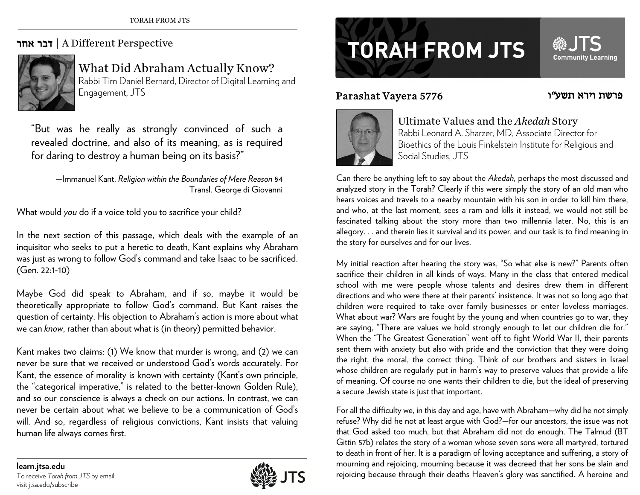## אחר דבר | A Different Perspective



What Did Abraham Actually Know? Rabbi Tim Daniel Bernard, Director of Digital Learning and Engagement, JTS

"But was he really as strongly convinced of such a revealed doctrine, and also of its meaning, as is required for daring to destroy a human being on its basis?"

—Immanuel Kant, *Religion within the Boundaries of Mere Reason* §4 Transl. George di Giovanni

What would *you* do if a voice told you to sacrifice your child?

In the next section of this passage, which deals with the example of an inquisitor who seeks to put a heretic to death, Kant explains why Abraham was just as wrong to follow God's command and take Isaac to be sacrificed. (Gen. 22:1-10)

Maybe God did speak to Abraham, and if so, maybe it would be theoretically appropriate to follow God's command. But Kant raises the question of certainty. His objection to Abraham's action is more about what we can *know*, rather than about what is (in theory) permitted behavior.

Kant makes two claims: (1) We know that murder is wrong, and (2) we can never be sure that we received or understood God's words accurately. For Kant, the essence of morality is known with certainty (Kant's own principle, the "categorical imperative," is related to the better-known Golden Rule), and so our conscience is always a check on our actions. In contrast, we can never be certain about what we believe to be a communication of God's will. And so, regardless of religious convictions, Kant insists that valuing human life always comes first.

## Parashat Vayera 5776



## Ultimate Values and the *Akedah* Story

Rabbi Leonard A. Sharzer, MD, Associate Director for Bioethics of the Louis Finkelstein Institute for Religious and Social Studies, JTS

פרשת וירא תשע"ו

**Community Learning** 

Can there be anything left to say about the *Akedah,* perhaps the most discussed and analyzed story in the Torah? Clearly if this were simply the story of an old man who hears voices and travels to a nearby mountain with his son in order to kill him there, and who, at the last moment, sees a ram and kills it instead, we would not still be fascinated talking about the story more than two millennia later. No, this is an allegory. . . and therein lies it survival and its power, and our task is to find meaning in the story for ourselves and for our lives.

My initial reaction after hearing the story was, "So what else is new?" Parents often sacrifice their children in all kinds of ways. Many in the class that entered medical school with me were people whose talents and desires drew them in different directions and who were there at their parents' insistence. It was not so long ago that children were required to take over family businesses or enter loveless marriages. What about war? Wars are fought by the young and when countries go to war, they are saying, "There are values we hold strongly enough to let our children die for." When the "The Greatest Generation" went off to fight World War II, their parents sent them with anxiety but also with pride and the conviction that they were doing the right, the moral, the correct thing. Think of our brothers and sisters in Israel whose children are regularly put in harm's way to preserve values that provide a life of meaning. Of course no one wants their children to die, but the ideal of preserving a secure Jewish state is just that important.

For all the difficulty we, in this day and age, have with Abraham—why did he not simply refuse? Why did he not at least argue with God?—for our ancestors, the issue was not that God asked too much, but that Abraham did not do enough. The Talmud (BT Gittin 57b) relates the story of a woman whose seven sons were all martyred, tortured to death in front of her. It is a paradigm of loving acceptance and suffering, a story of mourning and rejoicing, mourning because it was decreed that her sons be slain and regioring and rejoicing, mourning and rejoicing, mourning because it was decreed that her sons be slain and learn.<br>To receive *Torah from JTS* by email, **one of the constant of the constant of the constant of the constant**